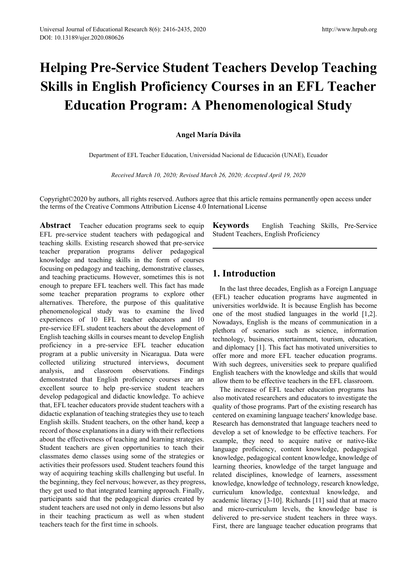# **Helping Pre-Service Student Teachers Develop Teaching Skills in English Proficiency Courses in an EFL Teacher Education Program: A Phenomenological Study**

# **Angel María Dávila**

Department of EFL Teacher Education, Universidad Nacional de Educación (UNAE), Ecuador

*Received March 10, 2020; Revised March 26, 2020; Accepted April 19, 2020*

Copyright©2020 by authors, all rights reserved. Authors agree that this article remains permanently open access under the terms of the Creative Commons Attribution License 4.0 International License

**Abstract** Teacher education programs seek to equip EFL pre-service student teachers with pedagogical and teaching skills. Existing research showed that pre-service teacher preparation programs deliver pedagogical knowledge and teaching skills in the form of courses focusing on pedagogy and teaching, demonstrative classes, and teaching practicums. However, sometimes this is not enough to prepare EFL teachers well. This fact has made some teacher preparation programs to explore other alternatives. Therefore, the purpose of this qualitative phenomenological study was to examine the lived experiences of 10 EFL teacher educators and 10 pre-service EFL student teachers about the development of English teaching skills in courses meant to develop English proficiency in a pre-service EFL teacher education program at a public university in Nicaragua. Data were collected utilizing structured interviews, document analysis, and classroom observations. Findings demonstrated that English proficiency courses are an excellent source to help pre-service student teachers develop pedagogical and didactic knowledge. To achieve that, EFL teacher educators provide student teachers with a didactic explanation of teaching strategies they use to teach English skills. Student teachers, on the other hand, keep a record of those explanations in a diary with their reflections about the effectiveness of teaching and learning strategies. Student teachers are given opportunities to teach their classmates demo classes using some of the strategies or activities their professors used. Student teachers found this way of acquiring teaching skills challenging but useful. In the beginning, they feel nervous; however, as they progress, they get used to that integrated learning approach. Finally, participants said that the pedagogical diaries created by student teachers are used not only in demo lessons but also in their teaching practicum as well as when student teachers teach for the first time in schools.

**Keywords** English Teaching Skills, Pre-Service Student Teachers, English Proficiency

# **1. Introduction**

In the last three decades, English as a Foreign Language (EFL) teacher education programs have augmented in universities worldwide. It is because English has become one of the most studied languages in the world [1,2]. Nowadays, English is the means of communication in a plethora of scenarios such as science, information technology, business, entertainment, tourism, education, and diplomacy [1]. This fact has motivated universities to offer more and more EFL teacher education programs. With such degrees, universities seek to prepare qualified English teachers with the knowledge and skills that would allow them to be effective teachers in the EFL classroom.

The increase of EFL teacher education programs has also motivated researchers and educators to investigate the quality of those programs. Part of the existing research has centered on examining language teachers' knowledge base. Research has demonstrated that language teachers need to develop a set of knowledge to be effective teachers. For example, they need to acquire native or native-like language proficiency, content knowledge, pedagogical knowledge, pedagogical content knowledge, knowledge of learning theories, knowledge of the target language and related disciplines, knowledge of learners, assessment knowledge, knowledge of technology, research knowledge, curriculum knowledge, contextual knowledge, and academic literacy [3-10]. Richards [11] said that at macro and micro-curriculum levels, the knowledge base is delivered to pre-service student teachers in three ways. First, there are language teacher education programs that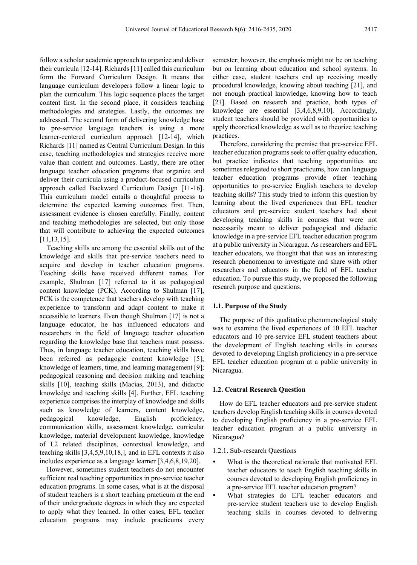follow a scholar academic approach to organize and deliver their curricula [12-14]. Richards [11] called this curriculum form the Forward Curriculum Design. It means that language curriculum developers follow a linear logic to plan the curriculum. This logic sequence places the target content first. In the second place, it considers teaching methodologies and strategies. Lastly, the outcomes are addressed. The second form of delivering knowledge base to pre-service language teachers is using a more learner-centered curriculum approach [12-14], which Richards [11] named as Central Curriculum Design. In this case, teaching methodologies and strategies receive more value than content and outcomes. Lastly, there are other language teacher education programs that organize and deliver their curricula using a product-focused curriculum approach called Backward Curriculum Design [11-16]. This curriculum model entails a thoughtful process to determine the expected learning outcomes first. Then, assessment evidence is chosen carefully. Finally, content and teaching methodologies are selected, but only those that will contribute to achieving the expected outcomes [11,13,15].

Teaching skills are among the essential skills out of the knowledge and skills that pre-service teachers need to acquire and develop in teacher education programs. Teaching skills have received different names. For example, Shulman [17] referred to it as pedagogical content knowledge (PCK). According to Shulman [17], PCK is the competence that teachers develop with teaching experience to transform and adapt content to make it accessible to learners. Even though Shulman [17] is not a language educator, he has influenced educators and researchers in the field of language teacher education regarding the knowledge base that teachers must possess. Thus, in language teacher education, teaching skills have been referred as pedagogic content knowledge [5]; knowledge of learners, time, and learning management [9]; pedagogical reasoning and decision making and teaching skills [10], teaching skills (Macías, 2013), and didactic knowledge and teaching skills [4]. Further, EFL teaching experience comprises the interplay of knowledge and skills such as knowledge of learners, content knowledge, pedagogical knowledge, English proficiency, communication skills, assessment knowledge, curricular knowledge, material development knowledge, knowledge of L2 related disciplines, contextual knowledge, and teaching skills [3,4,5,9,10,18,], and in EFL contexts it also includes experience as a language learner [3,4,6,8,19,20].

However, sometimes student teachers do not encounter sufficient real teaching opportunities in pre-service teacher education programs. In some cases, what is at the disposal of student teachers is a short teaching practicum at the end of their undergraduate degrees in which they are expected to apply what they learned. In other cases, EFL teacher education programs may include practicums every semester; however, the emphasis might not be on teaching but on learning about education and school systems. In either case, student teachers end up receiving mostly procedural knowledge, knowing about teaching [21], and not enough practical knowledge, knowing how to teach [21]. Based on research and practice, both types of knowledge are essential [3,4,6,8,9,10]. Accordingly, student teachers should be provided with opportunities to apply theoretical knowledge as well as to theorize teaching practices.

Therefore, considering the premise that pre-service EFL teacher education programs seek to offer quality education, but practice indicates that teaching opportunities are sometimes relegated to short practicums, how can language teacher education programs provide other teaching opportunities to pre-service English teachers to develop teaching skills? This study tried to inform this question by learning about the lived experiences that EFL teacher educators and pre-service student teachers had about developing teaching skills in courses that were not necessarily meant to deliver pedagogical and didactic knowledge in a pre-service EFL teacher education program at a public university in Nicaragua. As researchers and EFL teacher educators, we thought that that was an interesting research phenomenon to investigate and share with other researchers and educators in the field of EFL teacher education. To pursue this study, we proposed the following research purpose and questions.

#### **1.1. Purpose of the Study**

The purpose of this qualitative phenomenological study was to examine the lived experiences of 10 EFL teacher educators and 10 pre-service EFL student teachers about the development of English teaching skills in courses devoted to developing English proficiency in a pre-service EFL teacher education program at a public university in Nicaragua.

#### **1.2. Central Research Question**

How do EFL teacher educators and pre-service student teachers develop English teaching skills in courses devoted to developing English proficiency in a pre-service EFL teacher education program at a public university in Nicaragua?

#### 1.2.1. Sub-research Questions

- What is the theoretical rationale that motivated EFL teacher educators to teach English teaching skills in courses devoted to developing English proficiency in a pre-service EFL teacher education program?
- What strategies do EFL teacher educators and pre-service student teachers use to develop English teaching skills in courses devoted to delivering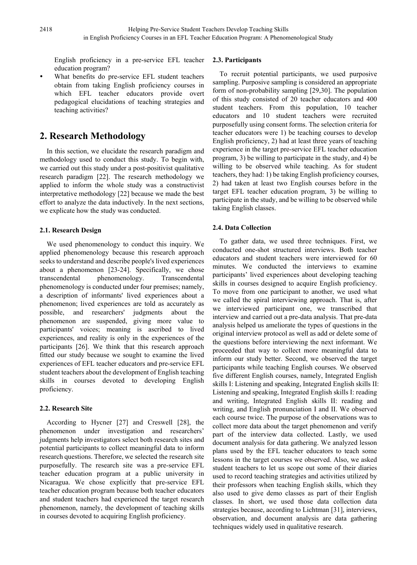English proficiency in a pre-service EFL teacher education program?

 What benefits do pre-service EFL student teachers obtain from taking English proficiency courses in which EFL teacher educators provide overt pedagogical elucidations of teaching strategies and teaching activities?

# **2. Research Methodology**

In this section, we elucidate the research paradigm and methodology used to conduct this study. To begin with, we carried out this study under a post-positivist qualitative research paradigm [22]. The research methodology we applied to inform the whole study was a constructivist interpretative methodology [22] because we made the best effort to analyze the data inductively. In the next sections, we explicate how the study was conducted.

# **2.1. Research Design**

We used phenomenology to conduct this inquiry. We applied phenomenology because this research approach seeks to understand and describe people's lived experiences about a phenomenon [23-24]. Specifically, we chose transcendental phenomenology. Transcendental phenomenology is conducted under four premises; namely, a description of informants' lived experiences about a phenomenon; lived experiences are told as accurately as possible, and researchers' judgments about the phenomenon are suspended, giving more value to participants' voices; meaning is ascribed to lived experiences, and reality is only in the experiences of the participants [26]. We think that this research approach fitted our study because we sought to examine the lived experiences of EFL teacher educators and pre-service EFL student teachers about the development of English teaching skills in courses devoted to developing English proficiency.

## **2.2. Research Site**

According to Hycner [27] and Creswell [28], the phenomenon under investigation and researchers' judgments help investigators select both research sites and potential participants to collect meaningful data to inform research questions. Therefore, we selected the research site purposefully. The research site was a pre-service EFL teacher education program at a public university in Nicaragua. We chose explicitly that pre-service EFL teacher education program because both teacher educators and student teachers had experienced the target research phenomenon, namely, the development of teaching skills in courses devoted to acquiring English proficiency.

## **2.3. Participants**

To recruit potential participants, we used purposive sampling. Purposive sampling is considered an appropriate form of non-probability sampling [29,30]. The population of this study consisted of 20 teacher educators and 400 student teachers. From this population, 10 teacher educators and 10 student teachers were recruited purposefully using consent forms. The selection criteria for teacher educators were 1) be teaching courses to develop English proficiency, 2) had at least three years of teaching experience in the target pre-service EFL teacher education program, 3) be willing to participate in the study, and 4) be willing to be observed while teaching. As for student teachers, they had: 1) be taking English proficiency courses, 2) had taken at least two English courses before in the target EFL teacher education program, 3) be willing to participate in the study, and be willing to be observed while taking English classes.

## **2.4. Data Collection**

To gather data, we used three techniques. First, we conducted one-shot structured interviews. Both teacher educators and student teachers were interviewed for 60 minutes. We conducted the interviews to examine participants' lived experiences about developing teaching skills in courses designed to acquire English proficiency. To move from one participant to another, we used what we called the spiral interviewing approach. That is, after we interviewed participant one, we transcribed that interview and carried out a pre-data analysis. That pre-data analysis helped us ameliorate the types of questions in the original interview protocol as well as add or delete some of the questions before interviewing the next informant. We proceeded that way to collect more meaningful data to inform our study better. Second, we observed the target participants while teaching English courses. We observed five different English courses, namely, Integrated English skills I: Listening and speaking, Integrated English skills II: Listening and speaking, Integrated English skills I: reading and writing, Integrated English skills II: reading and writing, and English pronunciation I and II. We observed each course twice. The purpose of the observations was to collect more data about the target phenomenon and verify part of the interview data collected. Lastly, we used document analysis for data gathering. We analyzed lesson plans used by the EFL teacher educators to teach some lessons in the target courses we observed. Also, we asked student teachers to let us scope out some of their diaries used to record teaching strategies and activities utilized by their professors when teaching English skills, which they also used to give demo classes as part of their English classes. In short, we used those data collection data strategies because, according to Lichtman [31], interviews, observation, and document analysis are data gathering techniques widely used in qualitative research.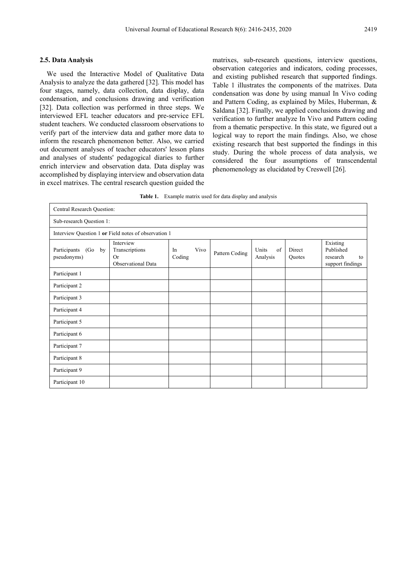#### **2.5. Data Analysis**

We used the Interactive Model of Qualitative Data Analysis to analyze the data gathered [32]. This model has four stages, namely, data collection, data display, data condensation, and conclusions drawing and verification [32]. Data collection was performed in three steps. We interviewed EFL teacher educators and pre-service EFL student teachers. We conducted classroom observations to verify part of the interview data and gather more data to inform the research phenomenon better. Also, we carried out document analyses of teacher educators' lesson plans and analyses of students' pedagogical diaries to further enrich interview and observation data. Data display was accomplished by displaying interview and observation data in excel matrixes. The central research question guided the matrixes, sub-research questions, interview questions, observation categories and indicators, coding processes, and existing published research that supported findings. Table 1 illustrates the components of the matrixes. Data condensation was done by using manual In Vivo coding and Pattern Coding, as explained by Miles, Huberman, & Saldana [32]. Finally, we applied conclusions drawing and verification to further analyze In Vivo and Pattern coding from a thematic perspective. In this state, we figured out a logical way to report the main findings. Also, we chose existing research that best supported the findings in this study. During the whole process of data analysis, we considered the four assumptions of transcendental phenomenology as elucidated by Creswell [26].

| Table 1. | Example matrix used for data display and analysis |  |  |  |
|----------|---------------------------------------------------|--|--|--|
|----------|---------------------------------------------------|--|--|--|

| Central Research Question:                           |                                                                |                      |                |                         |                  |                                                             |
|------------------------------------------------------|----------------------------------------------------------------|----------------------|----------------|-------------------------|------------------|-------------------------------------------------------------|
| Sub-research Question 1:                             |                                                                |                      |                |                         |                  |                                                             |
| Interview Question 1 or Field notes of observation 1 |                                                                |                      |                |                         |                  |                                                             |
| Participants<br>(Go)<br>by<br>pseudonyms)            | Interview<br>Transcriptions<br><b>Or</b><br>Observational Data | Vivo<br>In<br>Coding | Pattern Coding | Units<br>of<br>Analysis | Direct<br>Quotes | Existing<br>Published<br>research<br>to<br>support findings |
| Participant 1                                        |                                                                |                      |                |                         |                  |                                                             |
| Participant 2                                        |                                                                |                      |                |                         |                  |                                                             |
| Participant 3                                        |                                                                |                      |                |                         |                  |                                                             |
| Participant 4                                        |                                                                |                      |                |                         |                  |                                                             |
| Participant 5                                        |                                                                |                      |                |                         |                  |                                                             |
| Participant 6                                        |                                                                |                      |                |                         |                  |                                                             |
| Participant 7                                        |                                                                |                      |                |                         |                  |                                                             |
| Participant 8                                        |                                                                |                      |                |                         |                  |                                                             |
| Participant 9                                        |                                                                |                      |                |                         |                  |                                                             |
| Participant 10                                       |                                                                |                      |                |                         |                  |                                                             |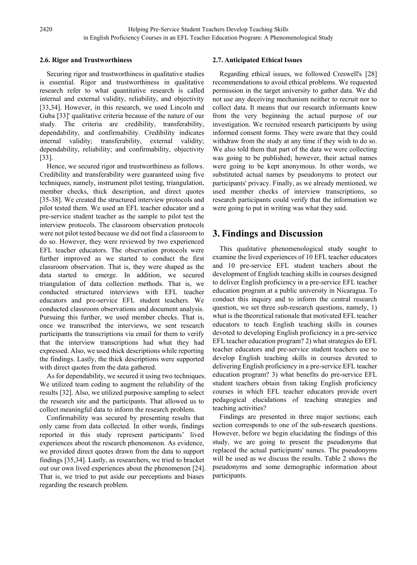## **2.6. Rigor and Trustworthiness**

Securing rigor and trustworthiness in qualitative studies is essential. Rigor and trustworthiness in qualitative research refer to what quantitative research is called internal and external validity, reliability, and objectivity [33,34]. However, in this research, we used Lincoln and Guba [33]' qualitative criteria because of the nature of our study. The criteria are credibility, transferability, dependability, and confirmability. Credibility indicates internal validity; transferability, external validity; dependability, reliability; and confirmability, objectivity [33].

Hence, we secured rigor and trustworthiness as follows. Credibility and transferability were guaranteed using five techniques, namely, instrument pilot testing, triangulation, member checks, thick description, and direct quotes [35-38]. We created the structured interview protocols and pilot tested them. We used an EFL teacher educator and a pre-service student teacher as the sample to pilot test the interview protocols. The classroom observation protocols were not pilot tested because we did not find a classroom to do so. However, they were reviewed by two experienced EFL teacher educators. The observation protocols were further improved as we started to conduct the first classroom observation. That is, they were shaped as the data started to emerge. In addition, we secured triangulation of data collection methods. That is, we conducted structured interviews with EFL teacher educators and pre-service EFL student teachers. We conducted classroom observations and document analysis. Pursuing this further, we used member checks. That is, once we transcribed the interviews, we sent research participants the transcriptions via email for them to verify that the interview transcriptions had what they had expressed. Also, we used thick descriptions while reporting the findings. Lastly, the thick descriptions were supported with direct quotes from the data gathered.

As for dependability, we secured it using two techniques. We utilized team coding to augment the reliability of the results [32]. Also, we utilized purposive sampling to select the research site and the participants. That allowed us to collect meaningful data to inform the research problem.

Confirmability was secured by presenting results that only came from data collected. In other words, findings reported in this study represent participants' lived experiences about the research phenomenon. As evidence, we provided direct quotes drawn from the data to support findings [35,34]. Lastly, as researchers, we tried to bracket out our own lived experiences about the phenomenon [24]. That is, we tried to put aside our perceptions and biases regarding the research problem.

# **2.7. Anticipated Ethical Issues**

Regarding ethical issues, we followed Creswell's [28] recommendations to avoid ethical problems. We requested permission in the target university to gather data. We did not use any deceiving mechanism neither to recruit nor to collect data. It means that our research informants knew from the very beginning the actual purpose of our investigation. We recruited research participants by using informed consent forms. They were aware that they could withdraw from the study at any time if they wish to do so. We also told them that part of the data we were collecting was going to be published; however, their actual names were going to be kept anonymous. In other words, we substituted actual names by pseudonyms to protect our participants' privacy. Finally, as we already mentioned, we used member checks of interview transcriptions, so research participants could verify that the information we were going to put in writing was what they said.

# **3. Findings and Discussion**

This qualitative phenomenological study sought to examine the lived experiences of 10 EFL teacher educators and 10 pre-service EFL student teachers about the development of English teaching skills in courses designed to deliver English proficiency in a pre-service EFL teacher education program at a public university in Nicaragua. To conduct this inquiry and to inform the central research question, we set three sub-research questions, namely, 1) what is the theoretical rationale that motivated EFL teacher educators to teach English teaching skills in courses devoted to developing English proficiency in a pre-service EFL teacher education program? 2) what strategies do EFL teacher educators and pre-service student teachers use to develop English teaching skills in courses devoted to delivering English proficiency in a pre-service EFL teacher education program? 3) what benefits do pre-service EFL student teachers obtain from taking English proficiency courses in which EFL teacher educators provide overt pedagogical elucidations of teaching strategies and teaching activities?

Findings are presented in three major sections; each section corresponds to one of the sub-research questions. However, before we begin elucidating the findings of this study, we are going to present the pseudonyms that replaced the actual participants' names. The pseudonyms will be used as we discuss the results. Table 2 shows the pseudonyms and some demographic information about participants.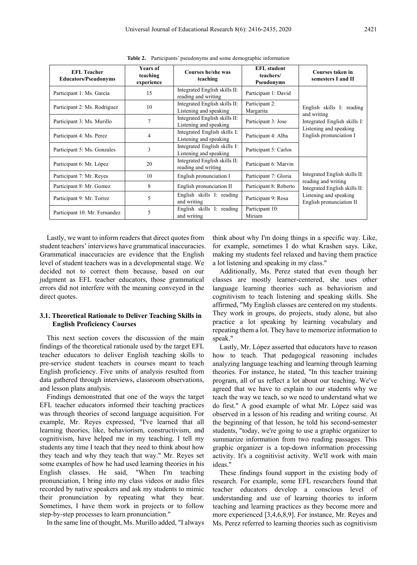| <b>EFL</b> Teacher<br><b>Educators/Pseudonyms</b> | <b>Years of</b><br>teaching<br>experience | Courses he/she was<br>teaching                          | <b>EFL</b> student<br>teachers/<br>Pseudonyms | Courses taken in<br>semesters I and II                                   |  |
|---------------------------------------------------|-------------------------------------------|---------------------------------------------------------|-----------------------------------------------|--------------------------------------------------------------------------|--|
| Participant 1: Ms. García                         | 15                                        | Integrated English skills II:<br>reading and writing    | Participant 1: David                          | English skills I: reading<br>and writing<br>Integrated English skills I: |  |
| Participant 2: Ms. Rodriguez                      | 10                                        | Integrated English skills II:<br>Listening and speaking | Participant 2:<br>Margarita                   |                                                                          |  |
| Participant 3: Ms. Murillo                        |                                           | Integrated English skills II:<br>Listening and speaking | Participant 3: Jose                           |                                                                          |  |
| Participant 4: Ms. Perez                          | 4                                         | Integrated English skills I:<br>Listening and speaking  | Participant 4: Alba                           | Listening and speaking<br>English pronunciation I                        |  |
| Participant 5: Ms. Gonzales                       | 3                                         | Integrated English skills I:<br>Listening and speaking  | Participant 5: Carlos                         |                                                                          |  |
| Participant 6: Mr. López                          | 20                                        | Integrated English skills II:<br>reading and writing    | Participant 6: Marvin                         | Integrated English skills II:                                            |  |
| Participant 7: Mr. Reves                          | 10                                        | English pronunciation I                                 | Participant 7: Gloria                         |                                                                          |  |
| 8<br>Participant 8: Mr. Gomez                     |                                           | English pronunciation II                                | Participant 8: Roberto                        | reading and writing<br>Integrated English skills II:                     |  |
| Participant 9: Mr. Torrez                         | 5                                         | English skills I: reading<br>and writing                | Participant 9: Rosa                           | Listening and speaking<br>English pronunciation II                       |  |
| Participant 10: Mr. Fernandez                     | 5                                         | English skills I: reading<br>and writing                | Participant 10:<br>Miriam                     |                                                                          |  |

**Table 2.** Participants' pseudonyms and some demographic information

Lastly, we want to inform readers that direct quotes from student teachers' interviews have grammatical inaccuracies. Grammatical inaccuracies are evidence that the English level of student teachers was in a developmental stage. We decided not to correct them because, based on our judgment as EFL teacher educators, those grammatical errors did not interfere with the meaning conveyed in the direct quotes.

## **3.1. Theoretical Rationale to Deliver Teaching Skills in English Proficiency Courses**

This next section covers the discussion of the main findings of the theoretical rationale used by the target EFL teacher educators to deliver English teaching skills to pre-service student teachers in courses meant to teach English proficiency. Five units of analysis resulted from data gathered through interviews, classroom observations, and lesson plans analysis.

Findings demonstrated that one of the ways the target EFL teacher educators informed their teaching practices was through theories of second language acquisition. For example, Mr. Reyes expressed, "I've learned that all learning theories, like, behaviorism, constructivism, and cognitivism, have helped me in my teaching. I tell my students any time I teach that they need to think about how they teach and why they teach that way." Mr. Reyes set some examples of how he had used learning theories in his English classes. He said, "When I'm teaching pronunciation, I bring into my class videos or audio files recorded by native speakers and ask my students to mimic their pronunciation by repeating what they hear. Sometimes, I have them work in projects or to follow step-by-step processes to learn pronunciation."

In the same line of thought, Ms. Murillo added, "I always

think about why I'm doing things in a specific way. Like, for example, sometimes I do what Krashen says. Like, making my students feel relaxed and having them practice a lot listening and speaking in my class."

Additionally, Ms. Perez stated that even though her classes are mostly learner-centered, she uses other language learning theories such as behaviorism and cognitivism to teach listening and speaking skills. She affirmed, "My English classes are centered on my students. They work in groups, do projects, study alone, but also practice a lot speaking by learning vocabulary and repeating them a lot. They have to memorize information to speak."

Lastly, Mr. López asserted that educators have to reason how to teach. That pedagogical reasoning includes analyzing language teaching and learning through learning theories. For instance, he stated, "In this teacher training program, all of us reflect a lot about our teaching. We've agreed that we have to explain to our students why we teach the way we teach, so we need to understand what we do first." A good example of what Mr. López said was observed in a lesson of his reading and writing course. At the beginning of that lesson, he told his second-semester students, "today, we're going to use a graphic organizer to summarize information from two reading passages. This graphic organizer is a top-down information processing activity. It's a cognitivist activity. We'll work with main ideas."

These findings found support in the existing body of research. For example, some EFL researchers found that teacher educators develop a conscious level of understanding and use of learning theories to inform teaching and learning practices as they become more and more experienced [3,4,6,8,9]. For instance, Mr. Reyes and Ms. Perez referred to learning theories such as cognitivism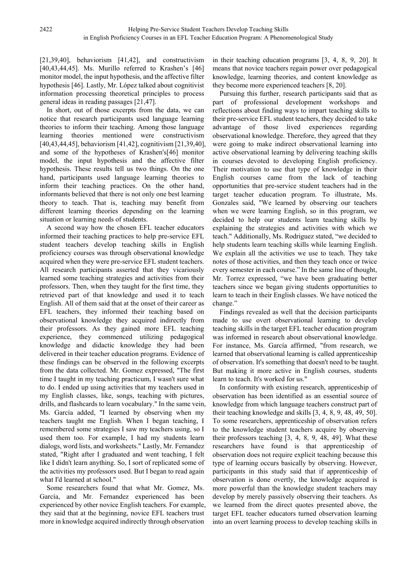[21,39,40], behaviorism [41,42], and constructivism [40,43,44,45]. Ms. Murillo referred to Krashen's [46] monitor model, the input hypothesis, and the affective filter hypothesis [46]. Lastly, Mr. López talked about cognitivist information processing theoretical principles to process general ideas in reading passages [21,47].

In short, out of those excerpts from the data, we can notice that research participants used language learning theories to inform their teaching. Among those language learning theories mentioned were constructivism [40,43,44,45], behaviorism [41,42], cognitivism [21,39,40], and some of the hypotheses of Krashen's[46] monitor model, the input hypothesis and the affective filter hypothesis. These results tell us two things. On the one hand, participants used language learning theories to inform their teaching practices. On the other hand, informants believed that there is not only one best learning theory to teach. That is, teaching may benefit from different learning theories depending on the learning situation or learning needs of students.

A second way how the chosen EFL teacher educators informed their teaching practices to help pre-service EFL student teachers develop teaching skills in English proficiency courses was through observational knowledge acquired when they were pre-service EFL student teachers. All research participants asserted that they vicariously learned some teaching strategies and activities from their professors. Then, when they taught for the first time, they retrieved part of that knowledge and used it to teach English. All of them said that at the onset of their career as EFL teachers, they informed their teaching based on observational knowledge they acquired indirectly from their professors. As they gained more EFL teaching experience, they commenced utilizing pedagogical knowledge and didactic knowledge they had been delivered in their teacher education programs. Evidence of these findings can be observed in the following excerpts from the data collected. Mr. Gomez expressed, "The first time I taught in my teaching practicum, I wasn't sure what to do. I ended up using activities that my teachers used in my English classes, like, songs, teaching with pictures, drills, and flashcards to learn vocabulary." In the same vein, Ms. García added, "I learned by observing when my teachers taught me English. When I began teaching, I remembered some strategies I saw my teachers using, so I used them too. For example, I had my students learn dialogs, word lists, and worksheets." Lastly, Mr. Fernandez stated, "Right after I graduated and went teaching, I felt like I didn't learn anything. So, I sort of replicated some of the activities my professors used. But I began to read again what I'd learned at school."

Some researchers found that what Mr. Gomez, Ms. García, and Mr. Fernandez experienced has been experienced by other novice English teachers. For example, they said that at the beginning, novice EFL teachers trust more in knowledge acquired indirectly through observation

in their teaching education programs [3, 4, 8, 9, 20]. It means that novice teachers regain power over pedagogical knowledge, learning theories, and content knowledge as they become more experienced teachers [8, 20].

Pursuing this further, research participants said that as part of professional development workshops and reflections about finding ways to impart teaching skills to their pre-service EFL student teachers, they decided to take advantage of those lived experiences regarding observational knowledge. Therefore, they agreed that they were going to make indirect observational learning into active observational learning by delivering teaching skills in courses devoted to developing English proficiency. Their motivation to use that type of knowledge in their English courses came from the lack of teaching opportunities that pre-service student teachers had in the target teacher education program. To illustrate, Ms. Gonzales said, "We learned by observing our teachers when we were learning English, so in this program, we decided to help our students learn teaching skills by explaining the strategies and activities with which we teach." Additionally, Ms. Rodriguez stated, "we decided to help students learn teaching skills while learning English. We explain all the activities we use to teach. They take notes of those activities, and then they teach once or twice every semester in each course." In the same line of thought, Mr. Torrez expressed, "we have been graduating better teachers since we began giving students opportunities to learn to teach in their English classes. We have noticed the change."

Findings revealed as well that the decision participants made to use overt observational learning to develop teaching skills in the target EFL teacher education program was informed in research about observational knowledge. For instance, Ms. García affirmed, "from research, we learned that observational learning is called apprenticeship of observation. It's something that doesn't need to be taught. But making it more active in English courses, students learn to teach. It's worked for us."

In conformity with existing research, apprenticeship of observation has been identified as an essential source of knowledge from which language teachers construct part of their teaching knowledge and skills [3, 4, 8, 9, 48, 49, 50]. To some researchers, apprenticeship of observation refers to the knowledge student teachers acquire by observing their professors teaching [3, 4, 8, 9, 48, 49]. What these researchers have found is that apprenticeship of observation does not require explicit teaching because this type of learning occurs basically by observing. However, participants in this study said that if apprenticeship of observation is done overtly, the knowledge acquired is more powerful than the knowledge student teachers may develop by merely passively observing their teachers. As we learned from the direct quotes presented above, the target EFL teacher educators turned observation learning into an overt learning process to develop teaching skills in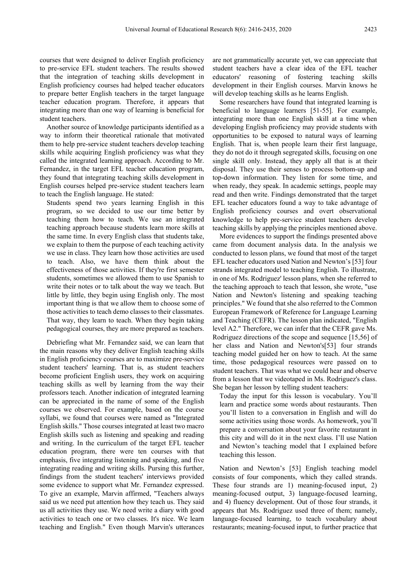courses that were designed to deliver English proficiency to pre-service EFL student teachers. The results showed that the integration of teaching skills development in English proficiency courses had helped teacher educators to prepare better English teachers in the target language teacher education program. Therefore, it appears that integrating more than one way of learning is beneficial for student teachers.

Another source of knowledge participants identified as a way to inform their theoretical rationale that motivated them to help pre-service student teachers develop teaching skills while acquiring English proficiency was what they called the integrated learning approach. According to Mr. Fernandez, in the target EFL teacher education program, they found that integrating teaching skills development in English courses helped pre-service student teachers learn to teach the English language. He stated:

Students spend two years learning English in this program, so we decided to use our time better by teaching them how to teach. We use an integrated teaching approach because students learn more skills at the same time. In every English class that students take, we explain to them the purpose of each teaching activity we use in class. They learn how those activities are used to teach. Also, we have them think about the effectiveness of those activities. If they're first semester students, sometimes we allowed them to use Spanish to write their notes or to talk about the way we teach. But little by little, they begin using English only. The most important thing is that we allow them to choose some of those activities to teach demo classes to their classmates. That way, they learn to teach. When they begin taking pedagogical courses, they are more prepared as teachers.

Debriefing what Mr. Fernandez said, we can learn that the main reasons why they deliver English teaching skills in English proficiency courses are to maximize pre-service student teachers' learning. That is, as student teachers become proficient English users, they work on acquiring teaching skills as well by learning from the way their professors teach. Another indication of integrated learning can be appreciated in the name of some of the English courses we observed. For example, based on the course syllabi, we found that courses were named as "Integrated English skills." Those courses integrated at least two macro English skills such as listening and speaking and reading and writing. In the curriculum of the target EFL teacher education program, there were ten courses with that emphasis, five integrating listening and speaking, and five integrating reading and writing skills. Pursing this further, findings from the student teachers' interviews provided some evidence to support what Mr. Fernandez expressed. To give an example, Marvin affirmed, "Teachers always said us we need put attention how they teach us. They said us all activities they use. We need write a diary with good activities to teach one or two classes. It's nice. We learn teaching and English." Even though Marvin's utterances

are not grammatically accurate yet, we can appreciate that student teachers have a clear idea of the EFL teacher educators' reasoning of fostering teaching skills development in their English courses. Marvin knows he will develop teaching skills as he learns English.

Some researchers have found that integrated learning is beneficial to language learners [51-55]. For example, integrating more than one English skill at a time when developing English proficiency may provide students with opportunities to be exposed to natural ways of learning English. That is, when people learn their first language, they do not do it through segregated skills, focusing on one single skill only. Instead, they apply all that is at their disposal. They use their senses to process bottom-up and top-down information. They listen for some time, and when ready, they speak. In academic settings, people may read and then write. Findings demonstrated that the target EFL teacher educators found a way to take advantage of English proficiency courses and overt observational knowledge to help pre-service student teachers develop teaching skills by applying the principles mentioned above.

More evidences to support the findings presented above came from document analysis data. In the analysis we conducted to lesson plans, we found that most of the target EFL teacher educators used Nation and Newton's [53] four strands integrated model to teaching English. To illustrate, in one of Ms. Rodriguez' lesson plans, when she referred to the teaching approach to teach that lesson, she wrote, "use Nation and Newton's listening and speaking teaching principles." We found that she also referred to the Common European Framework of Reference for Language Learning and Teaching (CEFR). The lesson plan indicated, "English level A2." Therefore, we can infer that the CEFR gave Ms. Rodriguez directions of the scope and sequence [15,56] of her class and Nation and Newton's[53] four strands teaching model guided her on how to teach. At the same time, those pedagogical resources were passed on to student teachers. That was what we could hear and observe from a lesson that we videotaped in Ms. Rodriguez's class. She began her lesson by telling student teachers:

Today the input for this lesson is vocabulary. You'll learn and practice some words about restaurants. Then you'll listen to a conversation in English and will do some activities using those words. As homework, you'll prepare a conversation about your favorite restaurant in this city and will do it in the next class. I'll use Nation and Newton's teaching model that I explained before teaching this lesson.

Nation and Newton's [53] English teaching model consists of four components, which they called strands. These four strands are 1) meaning-focused input, 2) meaning-focused output, 3) language-focused learning, and 4) fluency development. Out of those four strands, it appears that Ms. Rodriguez used three of them; namely, language-focused learning, to teach vocabulary about restaurants; meaning-focused input, to further practice that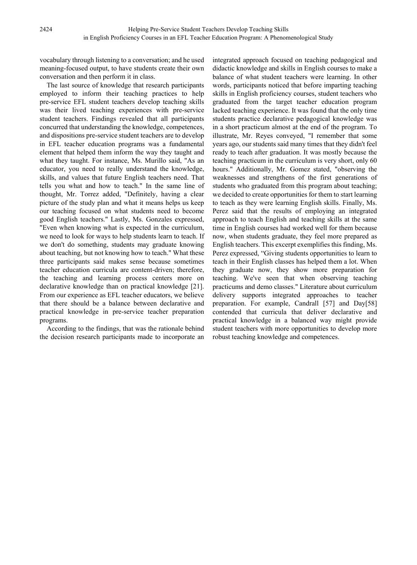vocabulary through listening to a conversation; and he used meaning-focused output, to have students create their own conversation and then perform it in class.

The last source of knowledge that research participants employed to inform their teaching practices to help pre-service EFL student teachers develop teaching skills was their lived teaching experiences with pre-service student teachers. Findings revealed that all participants concurred that understanding the knowledge, competences, and dispositions pre-service student teachers are to develop in EFL teacher education programs was a fundamental element that helped them inform the way they taught and what they taught. For instance, Ms. Murillo said, "As an educator, you need to really understand the knowledge, skills, and values that future English teachers need. That tells you what and how to teach." In the same line of thought, Mr. Torrez added, "Definitely, having a clear picture of the study plan and what it means helps us keep our teaching focused on what students need to become good English teachers." Lastly, Ms. Gonzales expressed, "Even when knowing what is expected in the curriculum, we need to look for ways to help students learn to teach. If we don't do something, students may graduate knowing about teaching, but not knowing how to teach." What these three participants said makes sense because sometimes teacher education curricula are content-driven; therefore, the teaching and learning process centers more on declarative knowledge than on practical knowledge [21]. From our experience as EFL teacher educators, we believe that there should be a balance between declarative and practical knowledge in pre-service teacher preparation programs.

According to the findings, that was the rationale behind the decision research participants made to incorporate an integrated approach focused on teaching pedagogical and didactic knowledge and skills in English courses to make a balance of what student teachers were learning. In other words, participants noticed that before imparting teaching skills in English proficiency courses, student teachers who graduated from the target teacher education program lacked teaching experience. It was found that the only time students practice declarative pedagogical knowledge was in a short practicum almost at the end of the program. To illustrate, Mr. Reyes conveyed, "I remember that some years ago, our students said many times that they didn't feel ready to teach after graduation. It was mostly because the teaching practicum in the curriculum is very short, only 60 hours." Additionally, Mr. Gomez stated, "observing the weaknesses and strengthens of the first generations of students who graduated from this program about teaching; we decided to create opportunities for them to start learning to teach as they were learning English skills. Finally, Ms. Perez said that the results of employing an integrated approach to teach English and teaching skills at the same time in English courses had worked well for them because now, when students graduate, they feel more prepared as English teachers. This excerpt exemplifies this finding, Ms. Perez expressed, "Giving students opportunities to learn to teach in their English classes has helped them a lot. When they graduate now, they show more preparation for teaching. We've seen that when observing teaching practicums and demo classes." Literature about curriculum delivery supports integrated approaches to teacher preparation. For example, Candrall [57] and Day[58] contended that curricula that deliver declarative and practical knowledge in a balanced way might provide student teachers with more opportunities to develop more robust teaching knowledge and competences.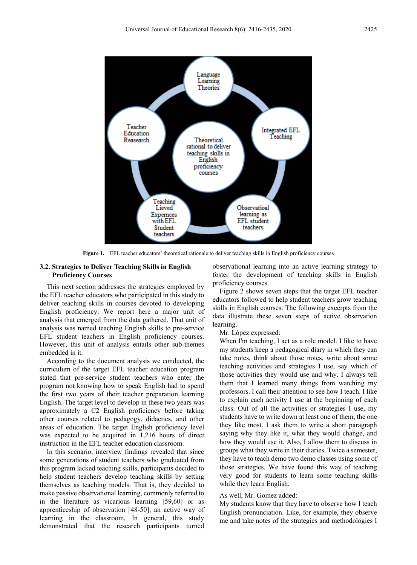

**Figure 1.** EFL teacher educators' theoretical rationale to deliver teaching skills in English proficiency courses

## **3.2. Strategies to Deliver Teaching Skills in English Proficiency Courses**

This next section addresses the strategies employed by the EFL teacher educators who participated in this study to deliver teaching skills in courses devoted to developing English proficiency. We report here a major unit of analysis that emerged from the data gathered. That unit of analysis was named teaching English skills to pre-service EFL student teachers in English proficiency courses. However, this unit of analysis entails other sub-themes embedded in it.

According to the document analysis we conducted, the curriculum of the target EFL teacher education program stated that pre-service student teachers who enter the program not knowing how to speak English had to spend the first two years of their teacher preparation learning English. The target level to develop in these two years was approximately a C2 English proficiency before taking other courses related to pedagogy, didactics, and other areas of education. The target English proficiency level was expected to be acquired in 1,216 hours of direct instruction in the EFL teacher education classroom.

In this scenario, interview findings revealed that since some generations of student teachers who graduated from this program lacked teaching skills, participants decided to help student teachers develop teaching skills by setting themselves as teaching models. That is, they decided to make passive observational learning, commonly referred to in the literature as vicarious learning [59,60] or as apprenticeship of observation [48-50], an active way of learning in the classroom. In general, this study demonstrated that the research participants turned observational learning into an active learning strategy to foster the development of teaching skills in English proficiency courses.

Figure 2 shows seven steps that the target EFL teacher educators followed to help student teachers grow teaching skills in English courses. The following excerpts from the data illustrate these seven steps of active observation learning.

#### Mr. López expressed:

When I'm teaching, I act as a role model. I like to have my students keep a pedagogical diary in which they can take notes, think about those notes, write about some teaching activities and strategies I use, say which of those activities they would use and why. I always tell them that I learned many things from watching my professors. I call their attention to see how I teach. I like to explain each activity I use at the beginning of each class. Out of all the activities or strategies I use, my students have to write down at least one of them, the one they like most. I ask them to write a short paragraph saying why they like it, what they would change, and how they would use it. Also, I allow them to discuss in groups what they write in their diaries. Twice a semester, they have to teach demo two demo classes using some of those strategies. We have found this way of teaching very good for students to learn some teaching skills while they learn English.

#### As well, Mr. Gomez added:

My students know that they have to observe how I teach English pronunciation. Like, for example, they observe me and take notes of the strategies and methodologies I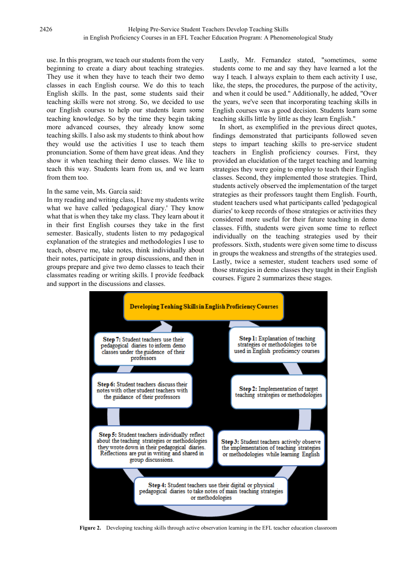use. In this program, we teach our students from the very beginning to create a diary about teaching strategies. They use it when they have to teach their two demo classes in each English course. We do this to teach English skills. In the past, some students said their teaching skills were not strong. So, we decided to use our English courses to help our students learn some teaching knowledge. So by the time they begin taking more advanced courses, they already know some teaching skills. I also ask my students to think about how they would use the activities I use to teach them pronunciation. Some of them have great ideas. And they show it when teaching their demo classes. We like to teach this way. Students learn from us, and we learn from them too.

#### In the same vein, Ms. García said:

In my reading and writing class, I have my students write what we have called 'pedagogical diary.' They know what that is when they take my class. They learn about it in their first English courses they take in the first semester. Basically, students listen to my pedagogical explanation of the strategies and methodologies I use to teach, observe me, take notes, think individually about their notes, participate in group discussions, and then in groups prepare and give two demo classes to teach their classmates reading or writing skills. I provide feedback and support in the discussions and classes.

Lastly, Mr. Fernandez stated, "sometimes, some students come to me and say they have learned a lot the way I teach. I always explain to them each activity I use, like, the steps, the procedures, the purpose of the activity, and when it could be used." Additionally, he added, "Over the years, we've seen that incorporating teaching skills in English courses was a good decision. Students learn some teaching skills little by little as they learn English."

In short, as exemplified in the previous direct quotes, findings demonstrated that participants followed seven steps to impart teaching skills to pre-service student teachers in English proficiency courses. First, they provided an elucidation of the target teaching and learning strategies they were going to employ to teach their English classes. Second, they implemented those strategies. Third, students actively observed the implementation of the target strategies as their professors taught them English. Fourth, student teachers used what participants called 'pedagogical diaries' to keep records of those strategies or activities they considered more useful for their future teaching in demo classes. Fifth, students were given some time to reflect individually on the teaching strategies used by their professors. Sixth, students were given some time to discuss in groups the weakness and strengths of the strategies used. Lastly, twice a semester, student teachers used some of those strategies in demo classes they taught in their English courses. Figure 2 summarizes these stages.



**Figure 2.** Developing teaching skills through active observation learning in the EFL teacher education classroom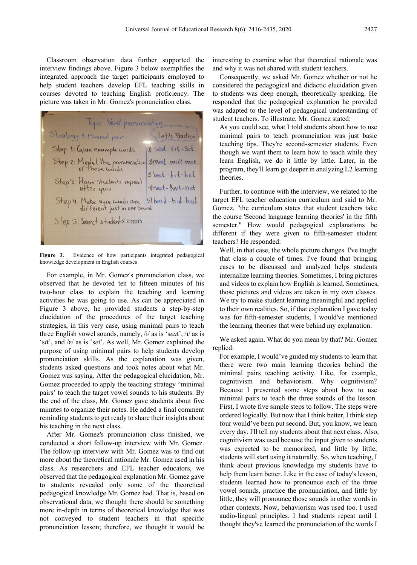Classroom observation data further supported the interview findings above. Figure 3 below exemplifies the integrated approach the target participants employed to help student teachers develop EFL teaching skills in courses devoted to teaching English proficiency. The picture was taken in Mr. Gomez's pronunciation class.

Topic: Vowel pronunciation<br>Strategy 1: Minimal pairs<br>Step 2: Model the pronunciation 2) Seal-Sit-Set<br>Step 2: Model the pronunciation 2) Meat-mitt-met.<br>Step 3: Have students repeat 3) beat-bit-bet<br>after you Step 4: Make sure words are 5) bead-bid-bed Step 5: Correct students errors

**Figure 3.** Evidence of how participants integrated pedagogical knowledge development in English courses

For example, in Mr. Gomez's pronunciation class, we observed that he devoted ten to fifteen minutes of his two-hour class to explain the teaching and learning activities he was going to use. As can be appreciated in Figure 3 above, he provided students a step-by-step elucidation of the procedures of the target teaching strategies, in this very case, using minimal pairs to teach three English vowel sounds, namely, /i/ as is 's*ea*t', /ɪ/ as is 's*i*t', and /ɛ/ as is 's*e*t'. As well, Mr. Gomez explained the purpose of using minimal pairs to help students develop pronunciation skills. As the explanation was given, students asked questions and took notes about what Mr. Gomez was saying. After the pedagogical elucidation, Mr. Gomez proceeded to apply the teaching strategy "minimal pairs' to teach the target vowel sounds to his students. By the end of the class, Mr. Gomez gave students about five minutes to organize their notes. He added a final comment reminding students to get ready to share their insights about his teaching in the next class.

After Mr. Gomez's pronunciation class finished, we conducted a short follow-up interview with Mr. Gomez. The follow-up interview with Mr. Gomez was to find out more about the theoretical rationale Mr. Gomez used in his class. As researchers and EFL teacher educators, we observed that the pedagogical explanation Mr. Gomez gave to students revealed only some of the theoretical pedagogical knowledge Mr. Gomez had. That is, based on observational data, we thought there should be something more in-depth in terms of theoretical knowledge that was not conveyed to student teachers in that specific pronunciation lesson; therefore, we thought it would be interesting to examine what that theoretical rationale was and why it was not shared with student teachers.

Consequently, we asked Mr. Gomez whether or not he considered the pedagogical and didactic elucidation given to students was deep enough, theoretically speaking. He responded that the pedagogical explanation he provided was adapted to the level of pedagogical understanding of student teachers. To illustrate, Mr. Gomez stated:

As you could see, what I told students about how to use minimal pairs to teach pronunciation was just basic teaching tips. They're second-semester students. Even though we want them to learn how to teach while they learn English, we do it little by little. Later, in the program, they'll learn go deeper in analyzing L2 learning theories.

Further, to continue with the interview, we related to the target EFL teacher education curriculum and said to Mr. Gomez, "the curriculum states that student teachers take the course 'Second language learning theories' in the fifth semester." How would pedagogical explanations be different if they were given to fifth-semester student teachers? He responded:

Well, in that case, the whole picture changes. I've taught that class a couple of times. I've found that bringing cases to be discussed and analyzed helps students internalize learning theories. Sometimes, I bring pictures and videos to explain how English is learned. Sometimes, those pictures and videos are taken in my own classes. We try to make student learning meaningful and applied to their own realities. So, if that explanation I gave today was for fifth-semester students, I would've mentioned the learning theories that were behind my explanation.

We asked again. What do you mean by that? Mr. Gomez replied:

For example, I would've guided my students to learn that there were two main learning theories behind the minimal pairs teaching activity. Like, for example, cognitivism and behaviorism. Why cognitivism? Because I presented some steps about how to use minimal pairs to teach the three sounds of the lesson. First, I wrote five simple steps to follow. The steps were ordered logically. But now that I think better, I think step four would've been put second. But, you know, we learn every day. I'll tell my students about that next class. Also, cognitivism was used because the input given to students was expected to be memorized, and little by little, students will start using it naturally. So, when teaching, I think about previous knowledge my students have to help them learn better. Like in the case of today's lesson, students learned how to pronounce each of the three vowel sounds, practice the pronunciation, and little by little, they will pronounce those sounds in other words in other contexts. Now, behaviorism was used too. I used audio-lingual principles. I had students repeat until I thought they've learned the pronunciation of the words I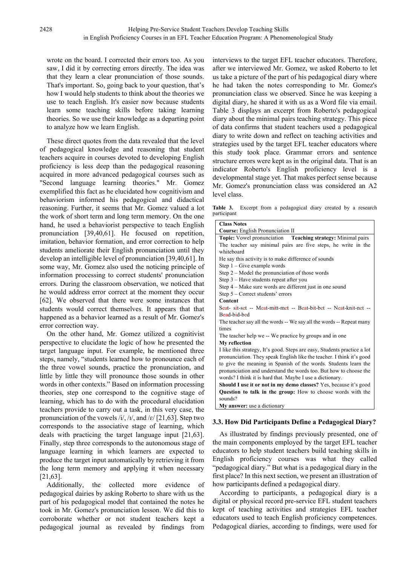wrote on the board. I corrected their errors too. As you saw, I did it by correcting errors directly. The idea was that they learn a clear pronunciation of those sounds. That's important. So, going back to your question, that's how I would help students to think about the theories we use to teach English. It's easier now because students learn some teaching skills before taking learning theories. So we use their knowledge as a departing point to analyze how we learn English.

These direct quotes from the data revealed that the level of pedagogical knowledge and reasoning that student teachers acquire in courses devoted to developing English proficiency is less deep than the pedagogical reasoning acquired in more advanced pedagogical courses such as "Second language learning theories." Mr. Gomez exemplified this fact as he elucidated how cognitivism and behaviorism informed his pedagogical and didactical reasoning. Further, it seems that Mr. Gomez valued a lot the work of short term and long term memory. On the one hand, he used a behaviorist perspective to teach English pronunciation [39,40,61]. He focused on repetition, imitation, behavior formation, and error correction to help students ameliorate their English pronunciation until they develop an intelligible level of pronunciation [39,40,61]. In some way, Mr. Gomez also used the noticing principle of information processing to correct students' pronunciation errors. During the classroom observation, we noticed that he would address error correct at the moment they occur [62]. We observed that there were some instances that students would correct themselves. It appears that that happened as a behavior learned as a result of Mr. Gomez's error correction way.

On the other hand, Mr. Gomez utilized a cognitivist perspective to elucidate the logic of how he presented the target language input. For example, he mentioned three steps, namely, "students learned how to pronounce each of the three vowel sounds, practice the pronunciation, and little by little they will pronounce those sounds in other words in other contexts." Based on information processing theories, step one correspond to the cognitive stage of learning, which has to do with the procedural elucidation teachers provide to carry out a task, in this very case, the pronunciation of the vowels /i/, /ɪ/, and /ɛ/ [21,63]. Step two corresponds to the associative stage of learning, which deals with practicing the target language input [21,63]. Finally, step three corresponds to the autonomous stage of language learning in which learners are expected to produce the target input automatically by retrieving it from the long term memory and applying it when necessary [21,63].

Additionally, the collected more evidence of pedagogical dairies by asking Roberto to share with us the part of his pedagogical model that contained the notes he took in Mr. Gomez's pronunciation lesson. We did this to corroborate whether or not student teachers kept a pedagogical journal as revealed by findings from

interviews to the target EFL teacher educators. Therefore, after we interviewed Mr. Gomez, we asked Roberto to let us take a picture of the part of his pedagogical diary where he had taken the notes corresponding to Mr. Gomez's pronunciation class we observed. Since he was keeping a digital diary, he shared it with us as a Word file via email. Table 3 displays an excerpt from Roberto's pedagogical diary about the minimal pairs teaching strategy. This piece of data confirms that student teachers used a pedagogical diary to write down and reflect on teaching activities and strategies used by the target EFL teacher educators where this study took place. Grammar errors and sentence structure errors were kept as in the original data. That is an indicator Roberto's English proficiency level is a developmental stage yet. That makes perfect sense because Mr. Gomez's pronunciation class was considered an A2 level class.

**Table 3.** Excerpt from a pedagogical diary created by a research participant

| <b>Class Notes</b>                                                       |
|--------------------------------------------------------------------------|
| <b>Course:</b> English Pronunciation II                                  |
| Topic: Vowel pronunciation Teaching strategy: Minimal pairs              |
| The teacher say minimal pairs are five steps, he write in the            |
| whiteboard                                                               |
| He say this activity is to make difference of sounds                     |
| Step $1 - Give example words$                                            |
| Step $2$ – Model the pronunciation of those words                        |
| Step 3 - Have students repeat after you                                  |
| Step 4 – Make sure words are different just in one sound                 |
| Step $5$ – Correct students' errors                                      |
| Content                                                                  |
| Seat- sit-set -- Meat-mitt-met -- Beat-bit-bet -- Neat-knit-net --       |
| Bead-bid-bed                                                             |
| The teacher say all the words -- We say all the words -- Repeat many     |
| times                                                                    |
| The teacher help we -- We practice by groups and in one                  |
| My reflection                                                            |
| I like this strategy, It's good. Steps are easy, Students practice a lot |
| pronunciation. They speak English like the teacher. I think it's good    |
| to give the meaning in Spanish of the words. Students learn the          |
| pronunciation and understand the words too. But how to choose the        |
| words? I think it is hard that. Maybe I use a dictionary.                |
| <b>Should I use it or not in my demo classes?</b> Yes, because it's good |
| Question to talk in the group: How to choose words with the              |
| sounds?                                                                  |
| My answer: use a dictionary                                              |

# **3.3. How Did Participants Define a Pedagogical Diary?**

As illustrated by findings previously presented, one of the main components employed by the target EFL teacher educators to help student teachers build teaching skills in English proficiency courses was what they called "pedagogical diary." But what is a pedagogical diary in the first place? In this next section, we present an illustration of how participants defined a pedagogical diary.

According to participants, a pedagogical diary is a digital or physical record pre-service EFL student teachers kept of teaching activities and strategies EFL teacher educators used to teach English proficiency competences. Pedagogical diaries, according to findings, were used for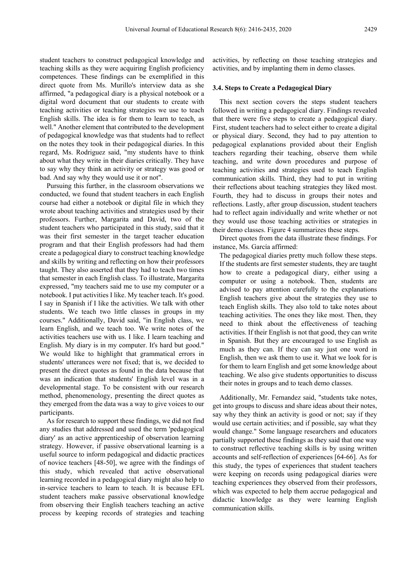student teachers to construct pedagogical knowledge and teaching skills as they were acquiring English proficiency competences. These findings can be exemplified in this direct quote from Ms. Murillo's interview data as she affirmed, "a pedagogical diary is a physical notebook or a digital word document that our students to create with teaching activities or teaching strategies we use to teach English skills. The idea is for them to learn to teach, as well." Another element that contributed to the development of pedagogical knowledge was that students had to reflect on the notes they took in their pedagogical diaries. In this regard, Ms. Rodriguez said, "my students have to think about what they write in their diaries critically. They have to say why they think an activity or strategy was good or bad. And say why they would use it or not".

Pursuing this further, in the classroom observations we conducted, we found that student teachers in each English course had either a notebook or digital file in which they wrote about teaching activities and strategies used by their professors. Further, Margarita and David, two of the student teachers who participated in this study, said that it was their first semester in the target teacher education program and that their English professors had had them create a pedagogical diary to construct teaching knowledge and skills by writing and reflecting on how their professors taught. They also asserted that they had to teach two times that semester in each English class. To illustrate, Margarita expressed, "my teachers said me to use my computer or a notebook. I put activities I like. My teacher teach. It's good. I say in Spanish if I like the activities. We talk with other students. We teach two little classes in groups in my courses." Additionally, David said, "in English class, we learn English, and we teach too. We write notes of the activities teachers use with us. I like. I learn teaching and English. My diary is in my computer. It's hard but good." We would like to highlight that grammatical errors in students' utterances were not fixed; that is, we decided to present the direct quotes as found in the data because that was an indication that students' English level was in a developmental stage. To be consistent with our research method, phenomenology, presenting the direct quotes as they emerged from the data was a way to give voices to our participants.

As for research to support these findings, we did not find any studies that addressed and used the term 'pedagogical diary' as an active apprenticeship of observation learning strategy. However, if passive observational learning is a useful source to inform pedagogical and didactic practices of novice teachers [48-50], we agree with the findings of this study, which revealed that active observational learning recorded in a pedagogical diary might also help to in-service teachers to learn to teach. It is because EFL student teachers make passive observational knowledge from observing their English teachers teaching an active process by keeping records of strategies and teaching

activities, by reflecting on those teaching strategies and activities, and by implanting them in demo classes.

#### **3.4. Steps to Create a Pedagogical Diary**

This next section covers the steps student teachers followed in writing a pedagogical diary. Findings revealed that there were five steps to create a pedagogical diary. First, student teachers had to select either to create a digital or physical diary. Second, they had to pay attention to pedagogical explanations provided about their English teachers regarding their teaching, observe them while teaching, and write down procedures and purpose of teaching activities and strategies used to teach English communication skills. Third, they had to put in writing their reflections about teaching strategies they liked most. Fourth, they had to discuss in groups their notes and reflections. Lastly, after group discussion, student teachers had to reflect again individually and write whether or not they would use those teaching activities or strategies in their demo classes. Figure 4 summarizes these steps.

Direct quotes from the data illustrate these findings. For instance, Ms. García affirmed:

The pedagogical diaries pretty much follow these steps. If the students are first semester students, they are taught how to create a pedagogical diary, either using a computer or using a notebook. Then, students are advised to pay attention carefully to the explanations English teachers give about the strategies they use to teach English skills. They also told to take notes about teaching activities. The ones they like most. Then, they need to think about the effectiveness of teaching activities. If their English is not that good, they can write in Spanish. But they are encouraged to use English as much as they can. If they can say just one word in English, then we ask them to use it. What we look for is for them to learn English and get some knowledge about teaching. We also give students opportunities to discuss their notes in groups and to teach demo classes.

Additionally, Mr. Fernandez said, "students take notes, get into groups to discuss and share ideas about their notes, say why they think an activity is good or not; say if they would use certain activities; and if possible, say what they would change." Some language researchers and educators partially supported these findings as they said that one way to construct reflective teaching skills is by using written accounts and self-reflection of experiences [64-66]. As for this study, the types of experiences that student teachers were keeping on records using pedagogical diaries were teaching experiences they observed from their professors, which was expected to help them accrue pedagogical and didactic knowledge as they were learning English communication skills.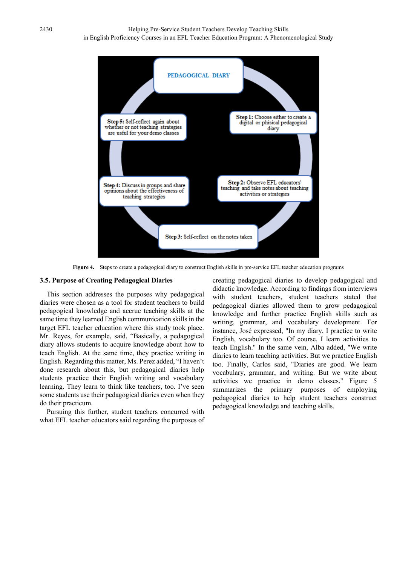

**Figure 4.** Steps to create a pedagogical diary to construct English skills in pre-service EFL teacher education programs

#### **3.5. Purpose of Creating Pedagogical Diaries**

This section addresses the purposes why pedagogical diaries were chosen as a tool for student teachers to build pedagogical knowledge and accrue teaching skills at the same time they learned English communication skills in the target EFL teacher education where this study took place. Mr. Reyes, for example, said, "Basically, a pedagogical diary allows students to acquire knowledge about how to teach English. At the same time, they practice writing in English. Regarding this matter, Ms. Perez added, "I haven't done research about this, but pedagogical diaries help students practice their English writing and vocabulary learning. They learn to think like teachers, too. I've seen some students use their pedagogical diaries even when they do their practicum.

Pursuing this further, student teachers concurred with what EFL teacher educators said regarding the purposes of creating pedagogical diaries to develop pedagogical and didactic knowledge. According to findings from interviews with student teachers, student teachers stated that pedagogical diaries allowed them to grow pedagogical knowledge and further practice English skills such as writing, grammar, and vocabulary development. For instance, José expressed, "In my diary, I practice to write English, vocabulary too. Of course, I learn activities to teach English." In the same vein, Alba added, "We write diaries to learn teaching activities. But we practice English too. Finally, Carlos said, "Diaries are good. We learn vocabulary, grammar, and writing. But we write about activities we practice in demo classes." Figure 5 summarizes the primary purposes of employing pedagogical diaries to help student teachers construct pedagogical knowledge and teaching skills.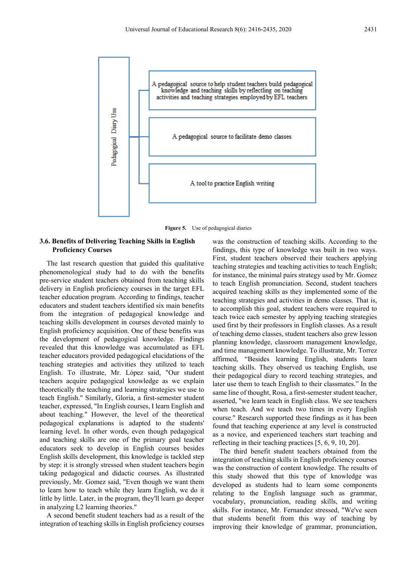

**Figure 5.** Use of pedagogical diaries

## **3.6. Benefits of Delivering Teaching Skills in English Proficiency Courses**

The last research question that guided this qualitative phenomenological study had to do with the benefits pre-service student teachers obtained from teaching skills delivery in English proficiency courses in the target EFL teacher education program. According to findings, teacher educators and student teachers identified six main benefits from the integration of pedagogical knowledge and teaching skills development in courses devoted mainly to English proficiency acquisition. One of these benefits was the development of pedagogical knowledge. Findings revealed that this knowledge was accumulated as EFL teacher educators provided pedagogical elucidations of the teaching strategies and activities they utilized to teach English. To illustrate, Mr. López said, "Our student teachers acquire pedagogical knowledge as we explain theoretically the teaching and learning strategies we use to teach English." Similarly, Gloria, a first-semester student teacher, expressed, "In English courses, I learn English and about teaching." However, the level of the theoretical pedagogical explanations is adapted to the students' learning level. In other words, even though pedagogical and teaching skills are one of the primary goal teacher educators seek to develop in English courses besides English skills development, this knowledge is tackled step by step: it is strongly stressed when student teachers begin taking pedagogical and didactic courses. As illustrated previously, Mr. Gomez said, "Even though we want them to learn how to teach while they learn English, we do it little by little. Later, in the program, they'll learn go deeper in analyzing L2 learning theories."

A second benefit student teachers had as a result of the integration of teaching skills in English proficiency courses

was the construction of teaching skills. According to the findings, this type of knowledge was built in two ways. First, student teachers observed their teachers applying teaching strategies and teaching activities to teach English; for instance, the minimal pairs strategy used by Mr. Gomez to teach English pronunciation. Second, student teachers acquired teaching skills as they implemented some of the teaching strategies and activities in demo classes. That is, to accomplish this goal, student teachers were required to teach twice each semester by applying teaching strategies used first by their professors in English classes. As a result of teaching demo classes, student teachers also grew lesson planning knowledge, classroom management knowledge, and time management knowledge. To illustrate, Mr. Torrez affirmed, "Besides learning English, students learn teaching skills. They observed us teaching English, use their pedagogical diary to record teaching strategies, and later use them to teach English to their classmates." In the same line of thought, Rosa, a first-semester student teacher, asserted, "we learn teach in English class. We see teachers when teach. And we teach two times in every English course." Research supported these findings as it has been found that teaching experience at any level is constructed as a novice, and experienced teachers start teaching and reflecting in their teaching practices [5, 6, 9, 10, 20].

The third benefit student teachers obtained from the integration of teaching skills in English proficiency courses was the construction of content knowledge. The results of this study showed that this type of knowledge was developed as students had to learn some components relating to the English language such as grammar, vocabulary, pronunciation, reading skills, and writing skills. For instance, Mr. Fernandez stressed, "We've seen that students benefit from this way of teaching by improving their knowledge of grammar, pronunciation,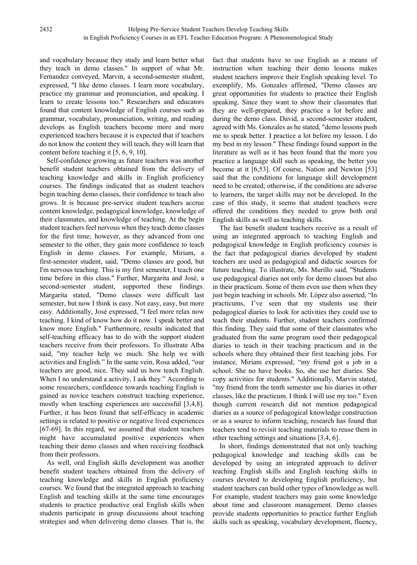and vocabulary because they study and learn better what they teach in demo classes." In support of what Mr. Fernandez conveyed, Marvin, a second-semester student, expressed, "I like demo classes. I learn more vocabulary, practice my grammar and pronunciation, and speaking. I learn to create lessons too." Researchers and educators found that content knowledge of English courses such as grammar, vocabulary, pronunciation, writing, and reading develops as English teachers become more and more experienced teachers because it is expected that if teachers do not know the content they will teach, they will learn that content before teaching it [5, 6, 9, 10].

Self-confidence growing as future teachers was another benefit student teachers obtained from the delivery of teaching knowledge and skills in English proficiency courses. The findings indicated that as student teachers begin teaching demo classes, their confidence to teach also grows. It is because pre-service student teachers accrue content knowledge, pedagogical knowledge, knowledge of their classmates, and knowledge of teaching. At the begin student teachers feel nervous when they teach demo classes for the first time; however, as they advanced from one semester to the other, they gain more confidence to teach English in demo classes. For example, Miriam, a first-semester student, said, "Demo classes are good, but I'm nervous teaching. This is my first semester, I teach one time before in this class." Further, Margarita and José, a second-semester student, supported these findings. Margarita stated, "Demo classes were difficult last semester, but now I think is easy. Not easy, easy, but more easy. Additionally, José expressed, "I feel more relax now teaching. I kind of know how do it now. I speak better and know more English." Furthermore, results indicated that self-teaching efficacy has to do with the support student teachers receive from their professors. To illustrate Alba said, "my teacher help we much. She help we with activities and English." In the same vein, Rosa added, "our teachers are good, nice. They said us how teach English. When I no understand a activity, I ask they." According to some researchers, confidence towards teaching English is gained as novice teachers construct teaching experience, mostly when teaching experiences are successful [3,4,8]. Further, it has been found that self-efficacy in academic settings is related to positive or negative lived experiences [67-69]. In this regard, we assumed that student teachers might have accumulated positive experiences when teaching their demo classes and when receiving feedback from their professors.

As well, oral English skills development was another benefit student teachers obtained from the delivery of teaching knowledge and skills in English proficiency courses. We found that the integrated approach to teaching English and teaching skills at the same time encourages students to practice productive oral English skills when students participate in group discussions about teaching strategies and when delivering demo classes. That is, the

fact that students have to use English as a means of instruction when teaching their demo lessons makes student teachers improve their English speaking level. To exemplify, Ms. Gonzales affirmed, "Demo classes are great opportunities for students to practice their English speaking. Since they want to show their classmates that they are well-prepared, they practice a lot before and during the demo class. David, a second-semester student, agreed with Ms. Gonzales as he stated, "demo lessons push me to speak better. I practice a lot before my lesson. I do my best in my lesson." These findings found support in the literature as well as it has been found that the more you practice a language skill such as speaking, the better you become at it [6,53]. Of course, Nation and Newton [53] said that the conditions for language skill development need to be created; otherwise, if the conditions are adverse to learners, the target skills may not be developed. In the case of this study, it seems that student teachers were offered the conditions they needed to grow both oral English skills as well as teaching skills.

The last benefit student teachers receive as a result of using an integrated approach to teaching English and pedagogical knowledge in English proficiency courses is the fact that pedagogical diaries developed by student teachers are used as pedagogical and didactic sources for future teaching. To illustrate, Ms. Murillo said, "Students use pedagogical diaries not only for demo classes but also in their practicum. Some of them even use them when they just begin teaching in schools. Mr. López also asserted, "In practicums, I've seen that my students use their pedagogical diaries to look for activities they could use to teach their students. Further, student teachers confirmed this finding. They said that some of their classmates who graduated from the same program used their pedagogical diaries to teach in their teaching practicum and in the schools where they obtained their first teaching jobs. For instance, Miriam expressed, "my friend got a job in a school. She no have books. So, she use her diaries. She copy activities for students." Additionally, Marvin stated, "my friend from the tenth semester use his diaries in other classes, like the practicum. I think I will use my too." Even though current research did not mention pedagogical diaries as a source of pedagogical knowledge construction or as a source to inform teaching, research has found that teachers tend to revisit teaching materials to reuse them in other teaching settings and situations [3,4, 6].

In short, findings demonstrated that not only teaching pedagogical knowledge and teaching skills can be developed by using an integrated approach to deliver teaching English skills and English teaching skills in courses devoted to developing English proficiency, but student teachers can build other types of knowledge as well. For example, student teachers may gain some knowledge about time and classroom management. Demo classes provide students opportunities to practice further English skills such as speaking, vocabulary development, fluency,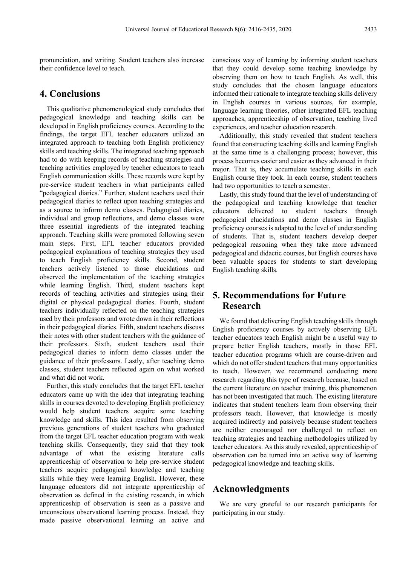pronunciation, and writing. Student teachers also increase their confidence level to teach.

# **4. Conclusions**

This qualitative phenomenological study concludes that pedagogical knowledge and teaching skills can be developed in English proficiency courses. According to the findings, the target EFL teacher educators utilized an integrated approach to teaching both English proficiency skills and teaching skills. The integrated teaching approach had to do with keeping records of teaching strategies and teaching activities employed by teacher educators to teach English communication skills. These records were kept by pre-service student teachers in what participants called "pedagogical diaries." Further, student teachers used their pedagogical diaries to reflect upon teaching strategies and as a source to inform demo classes. Pedagogical diaries, individual and group reflections, and demo classes were three essential ingredients of the integrated teaching approach. Teaching skills were promoted following seven main steps. First, EFL teacher educators provided pedagogical explanations of teaching strategies they used to teach English proficiency skills. Second, student teachers actively listened to those elucidations and observed the implementation of the teaching strategies while learning English. Third, student teachers kept records of teaching activities and strategies using their digital or physical pedagogical diaries. Fourth, student teachers individually reflected on the teaching strategies used by their professors and wrote down in their reflections in their pedagogical diaries. Fifth, student teachers discuss their notes with other student teachers with the guidance of their professors. Sixth, student teachers used their pedagogical diaries to inform demo classes under the guidance of their professors. Lastly, after teaching demo classes, student teachers reflected again on what worked and what did not work.

Further, this study concludes that the target EFL teacher educators came up with the idea that integrating teaching skills in courses devoted to developing English proficiency would help student teachers acquire some teaching knowledge and skills. This idea resulted from observing previous generations of student teachers who graduated from the target EFL teacher education program with weak teaching skills. Consequently, they said that they took advantage of what the existing literature calls apprenticeship of observation to help pre-service student teachers acquire pedagogical knowledge and teaching skills while they were learning English. However, these language educators did not integrate apprenticeship of observation as defined in the existing research, in which apprenticeship of observation is seen as a passive and unconscious observational learning process. Instead, they made passive observational learning an active and

conscious way of learning by informing student teachers that they could develop some teaching knowledge by observing them on how to teach English. As well, this study concludes that the chosen language educators informed their rationale to integrate teaching skills delivery in English courses in various sources, for example, language learning theories, other integrated EFL teaching approaches, apprenticeship of observation, teaching lived experiences, and teacher education research.

Additionally, this study revealed that student teachers found that constructing teaching skills and learning English at the same time is a challenging process; however, this process becomes easier and easier as they advanced in their major. That is, they accumulate teaching skills in each English course they took. In each course, student teachers had two opportunities to teach a semester.

Lastly, this study found that the level of understanding of the pedagogical and teaching knowledge that teacher educators delivered to student teachers through pedagogical elucidations and demo classes in English proficiency courses is adapted to the level of understanding of students. That is, student teachers develop deeper pedagogical reasoning when they take more advanced pedagogical and didactic courses, but English courses have been valuable spaces for students to start developing English teaching skills.

# **5. Recommendations for Future Research**

We found that delivering English teaching skills through English proficiency courses by actively observing EFL teacher educators teach English might be a useful way to prepare better English teachers, mostly in those EFL teacher education programs which are course-driven and which do not offer student teachers that many opportunities to teach. However, we recommend conducting more research regarding this type of research because, based on the current literature on teacher training, this phenomenon has not been investigated that much. The existing literature indicates that student teachers learn from observing their professors teach. However, that knowledge is mostly acquired indirectly and passively because student teachers are neither encouraged nor challenged to reflect on teaching strategies and teaching methodologies utilized by teacher educators. As this study revealed, apprenticeship of observation can be turned into an active way of learning pedagogical knowledge and teaching skills.

# **Acknowledgments**

We are very grateful to our research participants for participating in our study.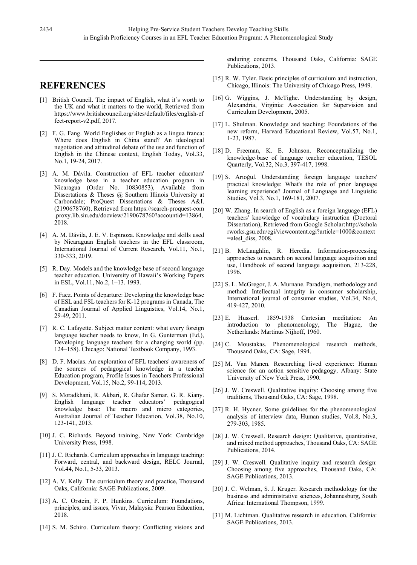# **REFERENCES**

- [1] British Council. The impact of English, what it´s worth to the UK and what it matters to the world, Retrieved from [https://www.britishcouncil.org/sites/default/files/english-ef](https://www.britishcouncil.org/sites/default/files/english-effect-report-v2.pdf) [fect-report-v2.pdf,](https://www.britishcouncil.org/sites/default/files/english-effect-report-v2.pdf) 2017.
- [2] F. G. Fang. World Englishes or English as a lingua franca: Where does English in China stand? An ideological negotiation and attitudinal debate of the use and function of English in the Chinese context, English Today, Vol.33, No.1, 19-24, 2017.
- [3] A. M. Dávila. Construction of EFL teacher educators' knowledge base in a teacher education program in Nicaragua (Order No. 10830853), Available from Dissertations & Theses @ Southern Illinois University at Carbondale; ProQuest Dissertations & Theses A&I. (2190678760), Retrieved fro[m](https://search-proquest-com.proxy.lib.siu.edu/docview/2190678760?accountid=13864) [https://search-proquest-com](https://search-proquest-com.proxy.lib.siu.edu/docview/2190678760?accountid=13864) [.proxy.lib.siu.edu/docview/2190678760?accountid=13864,](https://search-proquest-com.proxy.lib.siu.edu/docview/2190678760?accountid=13864)  2018.
- [4] A. M. Dávila, J. E. V. Espinoza. Knowledge and skills used by Nicaraguan English teachers in the EFL classroom, International Journal of Current Research, Vol.11, No.1, 330-333, 2019.
- [5] R. Day. Models and the knowledge base of second language teacher education, University of Hawaii's Working Papers in ESL, Vol.11, No.2, 1–13. 1993.
- [6] F. Faez. Points of departure: Developing the knowledge base of ESL and FSL teachers for K-12 programs in Canada, The Canadian Journal of Applied Linguistics, Vol.14, No.1, 29-49, 2011.
- [7] R. C. Lafayette. Subject matter content: what every foreign language teacher needs to know, In G. Gunterman (Ed.), Developing language teachers for a changing world (pp. 124–158). Chicago: National Textbook Company, 1993.
- [8] D. F. Macías. An exploration of EFL teachers' awareness of the sources of pedagogical knowledge in a teacher Education program, Profile Issues in Teachers Professional Development, Vol.15, No.2, 99-114, 2013.
- [9] S. Moradkhani, R. Akbari, R. Ghafar Samar, G. R. Kiany. English language teacher educators' pedagogical knowledge base: The macro and micro categories, Australian Journal of Teacher Education, Vol.38, No.10, 123-141, 2013.
- [10] J. C. Richards. Beyond training, New York: Cambridge University Press, 1998.
- [11] J. C. Richards. Curriculum approaches in language teaching: Forward, central, and backward design, RELC Journal, Vol.44, No.1, 5-33, 2013.
- [12] A. V. Kelly. The curriculum theory and practice, Thousand Oaks, California: SAGE Publications, 2009.
- [13] A. C. Orstein, F. P. Hunkins. Curriculum: Foundations, principles, and issues, Vivar, Malaysia: Pearson Education, 2018.
- [14] S. M. Schiro. Curriculum theory: Conflicting visions and

enduring concerns, Thousand Oaks, California: SAGE Publications, 2013.

- [15] R. W. Tyler. Basic principles of curriculum and instruction, Chicago, Illinois: The University of Chicago Press, 1949.
- [16] G. Wiggins, J. McTighe. Understanding by design, Alexandria, Virginia: Association for Supervision and Curriculum Development, 2005.
- [17] L. Shulman. Knowledge and teaching: Foundations of the new reform, Harvard Educational Review, Vol.57, No.1, 1-23, 1987.
- [18] D. Freeman, K. E. Johnson. Reconceptualizing the knowledge‐base of language teacher education, TESOL Quarterly, Vol.32, No.3, 397-417, 1998.
- [19] S. Arıoğul. Understanding foreign language teachers' practical knowledge: What's the role of prior language learning experience? Journal of Language and Linguistic Studies, Vol.3, No.1, 169-181, 2007.
- [20] W. Zhang. In search of English as a foreign language (EFL) teachers' knowledge of vocabulary instruction (Doctoral Dissertation), Retrieved from Google Scholar[:http://schola](http://scholarworks.gsu.edu/cgi/viewcontent.cgi?article=1000&context=alesl_diss) [rworks.gsu.edu/cgi/viewcontent.cgi?article=1000&context](http://scholarworks.gsu.edu/cgi/viewcontent.cgi?article=1000&context=alesl_diss)  $=$ alesl diss, 2008.
- [21] B. McLaughlin, R. Heredia. Information-processing approaches to research on second language acquisition and use, Handbook of second language acquisition, 213-228, 1996.
- [22] S. L. McGregor, J. A. Murnane. Paradigm, methodology and method: Intellectual integrity in consumer scholarship, International journal of consumer studies, Vol.34, No.4, 419-427, 2010.
- [23] E. Husserl. 1859-1938 Cartesian meditation: An introduction to phenomenology, The Hague, the Netherlands: Martinus Nijhoff, 1960.
- [24] C. Moustakas. Phenomenological research methods, Thousand Oaks, CA: Sage, 1994.
- [25] M. Van Manen. Researching lived experience: Human science for an action sensitive pedagogy, Albany: State University of New York Press, 1990.
- [26] J. W. Creswell. Qualitative inquiry: Choosing among five traditions, Thousand Oaks, CA: Sage, 1998.
- [27] R. H. Hycner. Some guidelines for the phenomenological analysis of interview data, Human studies, Vol.8, No.3, 279-303, 1985.
- [28] J. W. Creswell. Research design: Qualitative, quantitative, and mixed method approaches, Thousand Oaks, CA: SAGE Publications, 2014.
- [29] J. W. Creswell. Qualitative inquiry and research design: Choosing among five approaches, Thousand Oaks, CA: SAGE Publications, 2013.
- [30] J. C. Welman, S. J. Kruger. Research methodology for the business and administrative sciences, Johannesburg, South Africa: International Thompson, 1999.
- [31] M. Lichtman. Qualitative research in education, California: SAGE Publications, 2013.